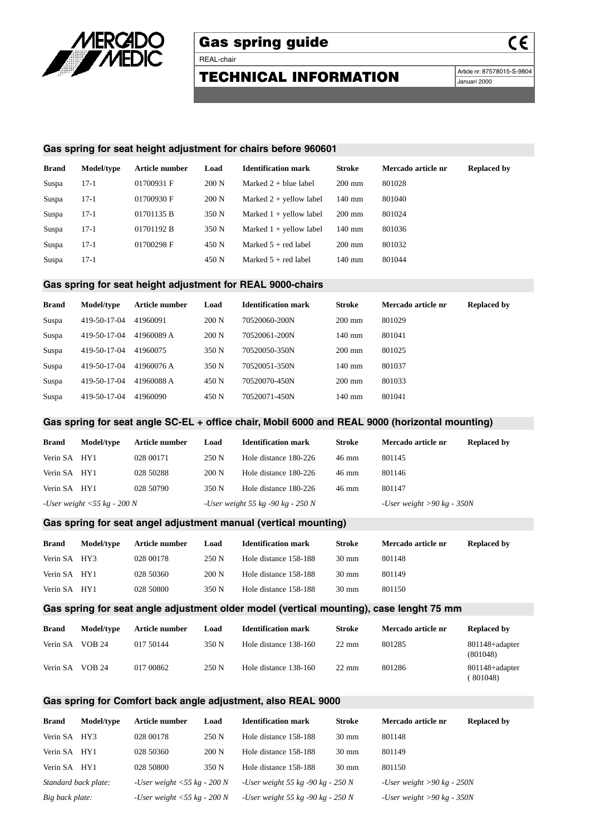

# Gas spring guide

REAL-chair

TECHNICAL INFORMATION Article nr: 87578015-S-9804

Januari 2000

 $C \in$ 

#### **Gas spring for seat height adjustment for chairs before 960601**

| <b>Brand</b> | Model/type | Article number | Load  | <b>Identification mark</b> | Stroke           | Mercado article nr | <b>Replaced by</b> |
|--------------|------------|----------------|-------|----------------------------|------------------|--------------------|--------------------|
| Suspa        | $17-1$     | 01700931 F     | 200 N | Marked $2 +$ blue label    | $200 \text{ mm}$ | 801028             |                    |
| Suspa        | $17-1$     | 01700930 F     | 200 N | Marked $2 +$ yellow label  | $140$ mm         | 801040             |                    |
| Suspa        | $17-1$     | 01701135 B     | 350 N | Marked $1 +$ yellow label  | $200 \text{ mm}$ | 801024             |                    |
| Suspa        | $17-1$     | 01701192 B     | 350 N | Marked $1 +$ yellow label  | $140$ mm         | 801036             |                    |
| Suspa        | $17-1$     | 01700298 F     | 450 N | Marked $5 + red$ label     | $200 \text{ mm}$ | 801032             |                    |
| Suspa        | $17-1$     |                | 450 N | Marked $5 + red$ label     | 140 mm           | 801044             |                    |
|              |            |                |       |                            |                  |                    |                    |

#### **Gas spring for seat height adjustment for REAL 9000-chairs**

| <b>Brand</b> | Model/type   | Article number | Load  | <b>Identification mark</b> | Stroke           | Mercado article nr | <b>Replaced by</b> |
|--------------|--------------|----------------|-------|----------------------------|------------------|--------------------|--------------------|
| Suspa        | 419-50-17-04 | 41960091       | 200 N | 70520060-200N              | $200 \text{ mm}$ | 801029             |                    |
| Suspa        | 419-50-17-04 | 41960089 A     | 200 N | 70520061-200N              | 140 mm           | 801041             |                    |
| Suspa        | 419-50-17-04 | 41960075       | 350 N | 70520050-350N              | $200$ mm         | 801025             |                    |
| Suspa        | 419-50-17-04 | 41960076 A     | 350 N | 70520051-350N              | 140 mm           | 801037             |                    |
| Suspa        | 419-50-17-04 | 41960088 A     | 450 N | 70520070-450N              | $200$ mm         | 801033             |                    |
| Suspa        | 419-50-17-04 | 41960090       | 450 N | 70520071-450N              | 140 mm           | 801041             |                    |

#### **Gas spring for seat angle SC-EL + office chair, Mobil 6000 and REAL 9000 (horizontal mounting)**

| <b>Brand</b>                   | Model/type | Article number | Load                              | <b>Identification mark</b> | Stroke | Mercado article nr           | <b>Replaced by</b> |
|--------------------------------|------------|----------------|-----------------------------------|----------------------------|--------|------------------------------|--------------------|
| Verin SA HY1                   |            | 028 00171      | 250 N                             | Hole distance 180-226      | 46 mm  | 801145                       |                    |
| Verin SA HY1                   |            | 028 50288      | 200 N                             | Hole distance 180-226      | 46 mm  | 801146                       |                    |
| Verin SA HY1                   |            | 028 50790      | 350 N                             | Hole distance 180-226      | 46 mm  | 801147                       |                    |
| -User weight $<$ 55 kg - 200 N |            |                | -User weight 55 kg -90 kg - 250 N |                            |        | -User weight $>90$ kg - 350N |                    |

#### **Gas spring for seat angel adjustment manual (vertical mounting)**

| <b>Brand</b> | Model/type | Article number | Load  | <b>Identification mark</b> | Stroke          | Mercado article nr | <b>Replaced by</b> |
|--------------|------------|----------------|-------|----------------------------|-----------------|--------------------|--------------------|
| Verin SA HY3 |            | 028 00178      | 250 N | Hole distance 158-188      | $30 \text{ mm}$ | 801148             |                    |
| Verin SA HY1 |            | 028 50360      | 200 N | Hole distance 158-188      | $30 \text{ mm}$ | 801149             |                    |
| Verin SA HY1 |            | 028 50800      | 350 N | Hole distance 158-188      | $30 \text{ mm}$ | 801150             |                    |

### **Gas spring for seat angle adjustment older model (vertical mounting), case lenght 75 mm**

| <b>Brand</b> | Model/type    | Article number | Load  | <b>Identification mark</b> | Stroke          | Mercado article nr | <b>Replaced by</b>         |
|--------------|---------------|----------------|-------|----------------------------|-----------------|--------------------|----------------------------|
| Verin SA     | <b>VOB 24</b> | 017 50144      | 350 N | Hole distance 138-160      | $22 \text{ mm}$ | 801285             | 801148+adapter<br>(801048) |
| Verin SA     | <b>VOB 24</b> | 017 00862      | 250 N | Hole distance 138-160      | $22 \text{ mm}$ | 801286             | 801148+adapter<br>(801048) |

### **Gas spring for Comfort back angle adjustment, also REAL 9000**

| <b>Brand</b>         | Model/type | Article number                 | Load  | <b>Identification mark</b>        | Stroke          | Mercado article nr           | <b>Replaced by</b> |
|----------------------|------------|--------------------------------|-------|-----------------------------------|-----------------|------------------------------|--------------------|
| Verin SA HY3         |            | 028 00178                      | 250 N | Hole distance 158-188             | $30 \text{ mm}$ | 801148                       |                    |
| Verin SA HY1         |            | 028 50360                      | 200 N | Hole distance 158-188             | $30 \text{ mm}$ | 801149                       |                    |
| Verin SA HY1         |            | 028 50800                      | 350 N | Hole distance 158-188             | $30 \text{ mm}$ | 801150                       |                    |
| Standard back plate: |            | -User weight $<$ 55 kg - 200 N |       | -User weight 55 kg -90 kg - 250 N |                 | -User weight $>90$ kg - 250N |                    |
| Big back plate:      |            | -User weight $<$ 55 kg - 200 N |       | -User weight 55 kg -90 kg - 250 N |                 | -User weight $>90$ kg - 350N |                    |